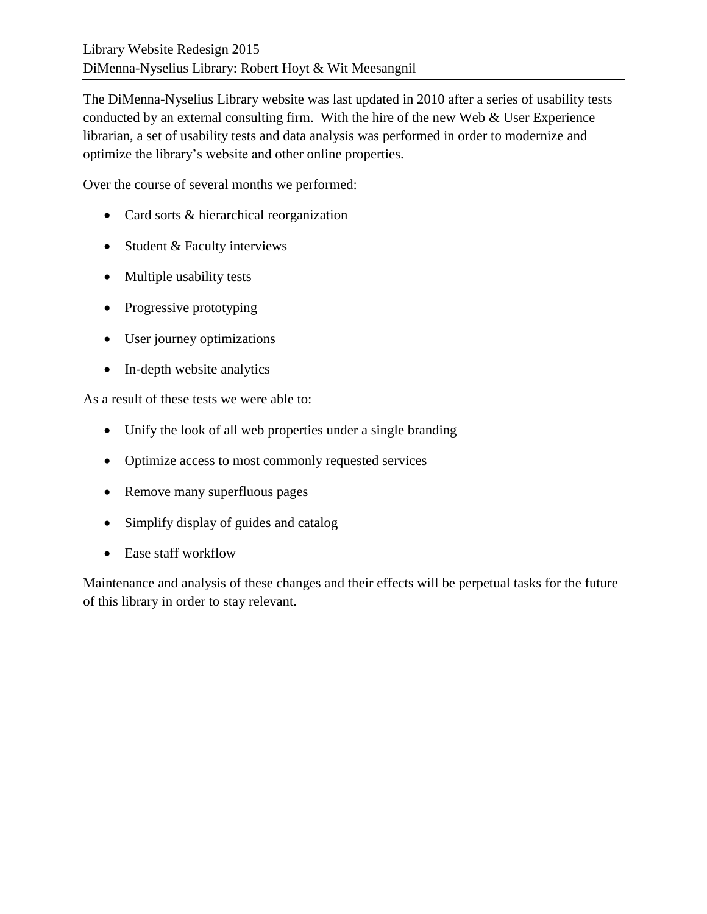The DiMenna-Nyselius Library website was last updated in 2010 after a series of usability tests conducted by an external consulting firm. With the hire of the new Web & User Experience librarian, a set of usability tests and data analysis was performed in order to modernize and optimize the library's website and other online properties.

Over the course of several months we performed:

- Card sorts & hierarchical reorganization
- Student & Faculty interviews
- Multiple usability tests
- Progressive prototyping
- User journey optimizations
- In-depth website analytics

As a result of these tests we were able to:

- Unify the look of all web properties under a single branding
- Optimize access to most commonly requested services
- Remove many superfluous pages
- Simplify display of guides and catalog
- Ease staff workflow

Maintenance and analysis of these changes and their effects will be perpetual tasks for the future of this library in order to stay relevant.